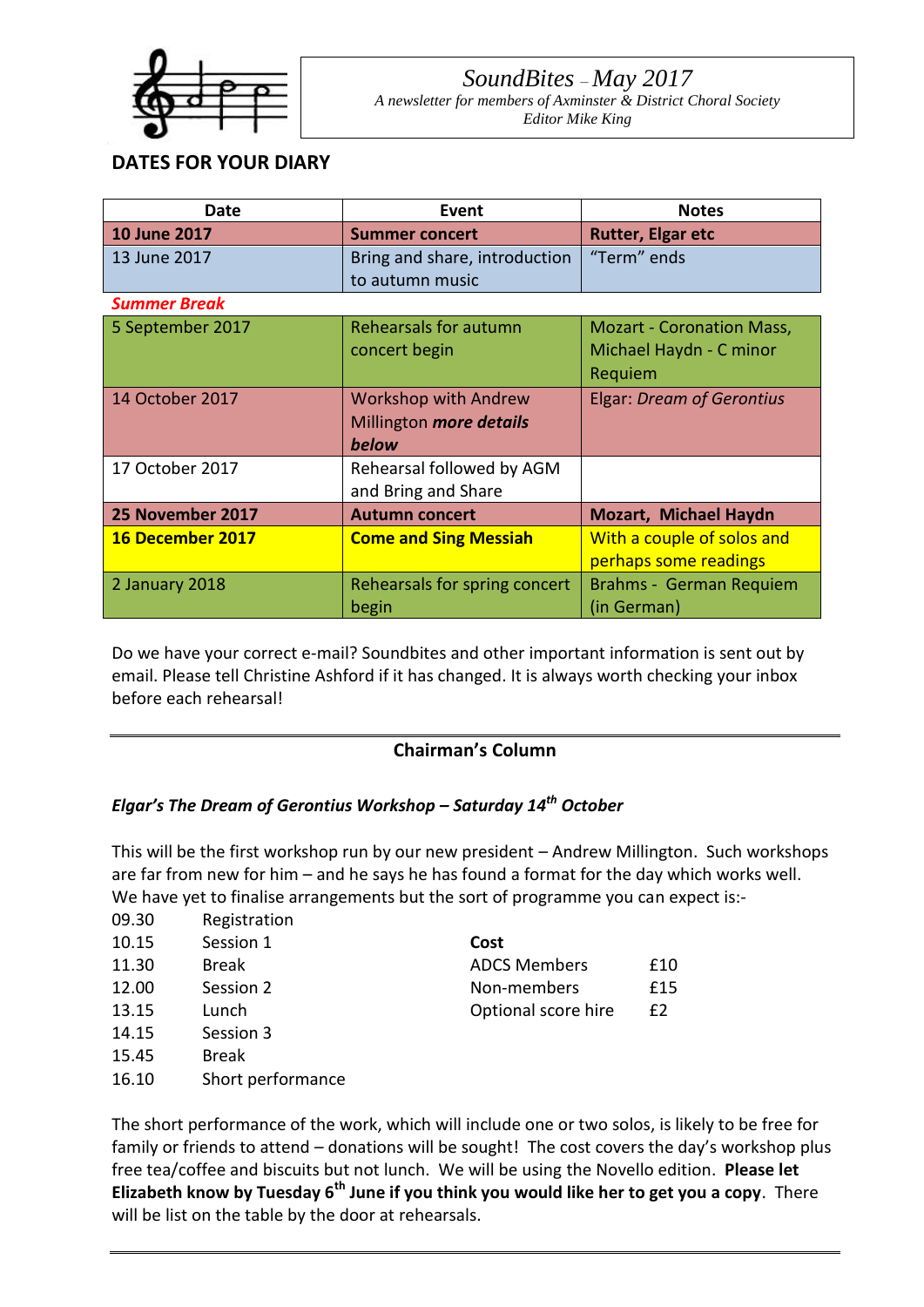

09.30 Registration

# *SoundBites – May 2017 A newsletter for members of Axminster & District Choral Society*

*Editor Mike King*

## **DATES FOR YOUR DIARY**

| Date                | Event                         | <b>Notes</b>                     |  |  |  |  |  |
|---------------------|-------------------------------|----------------------------------|--|--|--|--|--|
| <b>10 June 2017</b> | <b>Summer concert</b>         | <b>Rutter, Elgar etc</b>         |  |  |  |  |  |
| 13 June 2017        | Bring and share, introduction | "Term" ends                      |  |  |  |  |  |
|                     | to autumn music               |                                  |  |  |  |  |  |
| <b>Summer Break</b> |                               |                                  |  |  |  |  |  |
| 5 September 2017    | Rehearsals for autumn         | <b>Mozart - Coronation Mass,</b> |  |  |  |  |  |
|                     | concert begin                 | Michael Haydn - C minor          |  |  |  |  |  |
|                     |                               | Requiem                          |  |  |  |  |  |
| 14 October 2017     | <b>Workshop with Andrew</b>   | <b>Elgar: Dream of Gerontius</b> |  |  |  |  |  |
|                     | Millington more details       |                                  |  |  |  |  |  |
|                     | below                         |                                  |  |  |  |  |  |
| 17 October 2017     | Rehearsal followed by AGM     |                                  |  |  |  |  |  |
|                     | and Bring and Share           |                                  |  |  |  |  |  |
| 25 November 2017    | <b>Autumn concert</b>         | <b>Mozart, Michael Haydn</b>     |  |  |  |  |  |
| 16 December 2017    | <b>Come and Sing Messiah</b>  | With a couple of solos and       |  |  |  |  |  |
|                     |                               | perhaps some readings            |  |  |  |  |  |
| 2 January 2018      | Rehearsals for spring concert | Brahms - German Requiem          |  |  |  |  |  |
|                     | begin                         | (in German)                      |  |  |  |  |  |

Do we have your correct e-mail? Soundbites and other important information is sent out by email. Please tell Christine Ashford if it has changed. It is always worth checking your inbox before each rehearsal!

## **Chairman's Column**

## *Elgar's The Dream of Gerontius Workshop – Saturday 14th October*

This will be the first workshop run by our new president – Andrew Millington. Such workshops are far from new for him – and he says he has found a format for the day which works well. We have yet to finalise arrangements but the sort of programme you can expect is:-

| טכ.כט | <b>RESISTE QUOT</b> |                     |     |
|-------|---------------------|---------------------|-----|
| 10.15 | Session 1           | Cost                |     |
| 11.30 | <b>Break</b>        | <b>ADCS Members</b> | £10 |
| 12.00 | Session 2           | Non-members         | £15 |
| 13.15 | Lunch               | Optional score hire | £2  |
| 14.15 | Session 3           |                     |     |
| 15.45 | <b>Break</b>        |                     |     |
| 16.10 | Short performance   |                     |     |
|       |                     |                     |     |

The short performance of the work, which will include one or two solos, is likely to be free for family or friends to attend – donations will be sought! The cost covers the day's workshop plus free tea/coffee and biscuits but not lunch. We will be using the Novello edition. **Please let Elizabeth know by Tuesday 6th June if you think you would like her to get you a copy**. There will be list on the table by the door at rehearsals.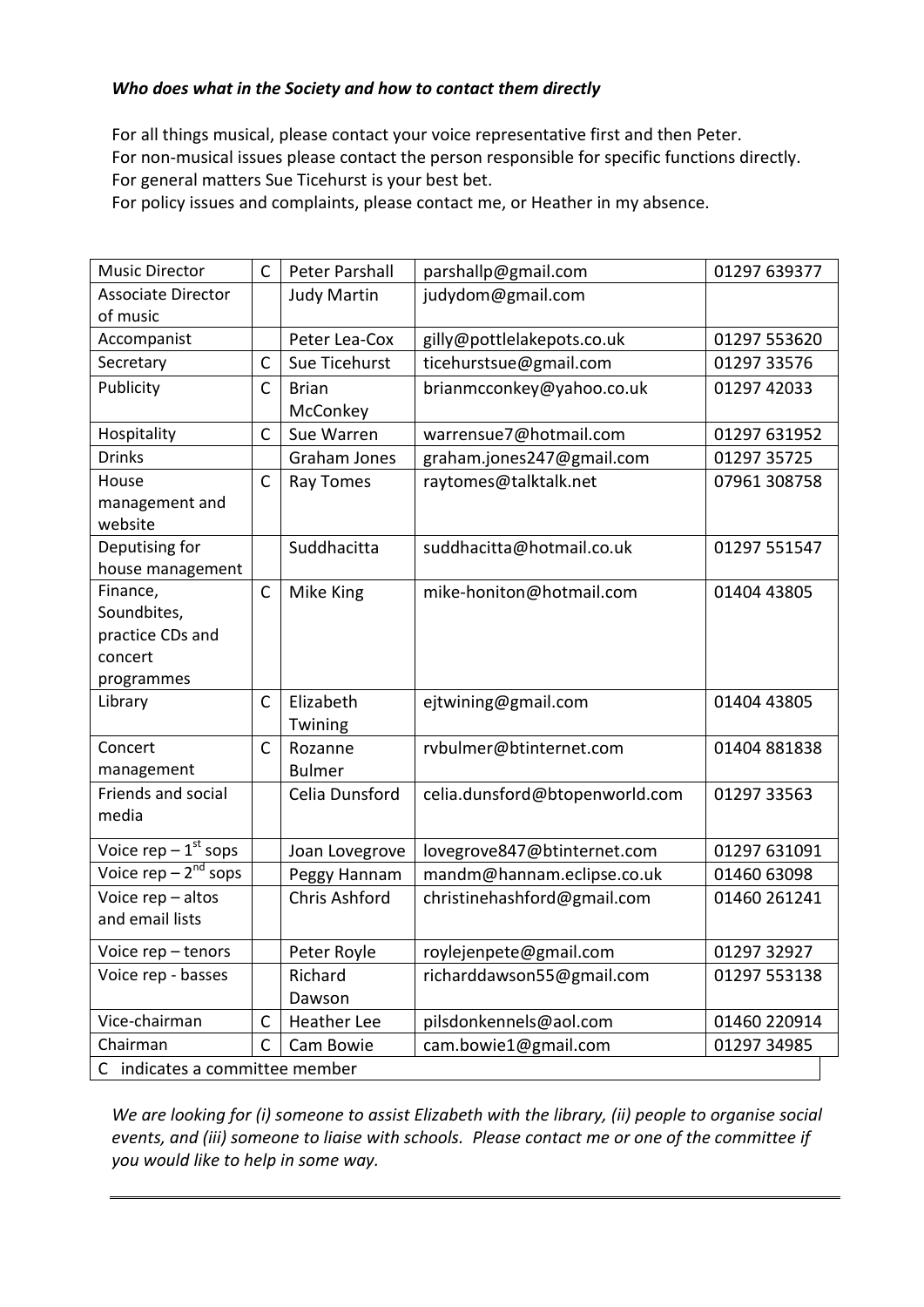### *Who does what in the Society and how to contact them directly*

For all things musical, please contact your voice representative first and then Peter. For non-musical issues please contact the person responsible for specific functions directly. For general matters Sue Ticehurst is your best bet.

For policy issues and complaints, please contact me, or Heather in my absence.

| <b>Music Director</b>             | C            | Peter Parshall     | parshallp@gmail.com            | 01297 639377 |  |  |
|-----------------------------------|--------------|--------------------|--------------------------------|--------------|--|--|
| <b>Associate Director</b>         |              | <b>Judy Martin</b> | judydom@gmail.com              |              |  |  |
| of music                          |              |                    |                                |              |  |  |
| Accompanist                       |              | Peter Lea-Cox      | gilly@pottlelakepots.co.uk     | 01297 553620 |  |  |
| Secretary                         | C            | Sue Ticehurst      | ticehurstsue@gmail.com         | 01297 33576  |  |  |
| Publicity                         | $\mathsf{C}$ | <b>Brian</b>       | brianmcconkey@yahoo.co.uk      | 01297 42033  |  |  |
|                                   |              | McConkey           |                                |              |  |  |
| Hospitality                       | $\mathsf{C}$ | Sue Warren         | warrensue7@hotmail.com         | 01297 631952 |  |  |
| <b>Drinks</b>                     |              | Graham Jones       | graham.jones247@gmail.com      | 01297 35725  |  |  |
| House                             | $\mathsf{C}$ | Ray Tomes          | raytomes@talktalk.net          | 07961 308758 |  |  |
| management and                    |              |                    |                                |              |  |  |
| website                           |              |                    |                                |              |  |  |
| Deputising for                    |              | Suddhacitta        | suddhacitta@hotmail.co.uk      | 01297 551547 |  |  |
| house management                  |              |                    |                                |              |  |  |
| Finance,                          | $\mathsf C$  | Mike King          | mike-honiton@hotmail.com       | 01404 43805  |  |  |
| Soundbites,                       |              |                    |                                |              |  |  |
| practice CDs and                  |              |                    |                                |              |  |  |
| concert                           |              |                    |                                |              |  |  |
| programmes                        |              |                    |                                |              |  |  |
| Library                           | $\mathsf{C}$ | Elizabeth          | ejtwining@gmail.com            | 01404 43805  |  |  |
|                                   |              | Twining            |                                |              |  |  |
| Concert                           | $\mathsf{C}$ | Rozanne            | rvbulmer@btinternet.com        | 01404 881838 |  |  |
| management                        |              | <b>Bulmer</b>      |                                |              |  |  |
| Friends and social                |              | Celia Dunsford     | celia.dunsford@btopenworld.com | 01297 33563  |  |  |
| media                             |              |                    |                                |              |  |  |
| Voice rep $-1$ <sup>st</sup> sops |              | Joan Lovegrove     | lovegrove847@btinternet.com    | 01297 631091 |  |  |
| Voice rep $-2^{nd}$ sops          |              | Peggy Hannam       | mandm@hannam.eclipse.co.uk     | 01460 63098  |  |  |
| Voice rep - altos                 |              | Chris Ashford      | christinehashford@gmail.com    | 01460 261241 |  |  |
| and email lists                   |              |                    |                                |              |  |  |
| Voice rep - tenors                |              | Peter Royle        | roylejenpete@gmail.com         | 01297 32927  |  |  |
| Voice rep - basses                |              | Richard            | richarddawson55@gmail.com      | 01297 553138 |  |  |
|                                   |              | Dawson             |                                |              |  |  |
| Vice-chairman                     | $\mathsf{C}$ | <b>Heather Lee</b> | pilsdonkennels@aol.com         | 01460 220914 |  |  |
| Chairman                          | C            | Cam Bowie          | cam.bowie1@gmail.com           | 01297 34985  |  |  |
| C indicates a committee member    |              |                    |                                |              |  |  |

*We are looking for (i) someone to assist Elizabeth with the library, (ii) people to organise social events, and (iii) someone to liaise with schools. Please contact me or one of the committee if you would like to help in some way.*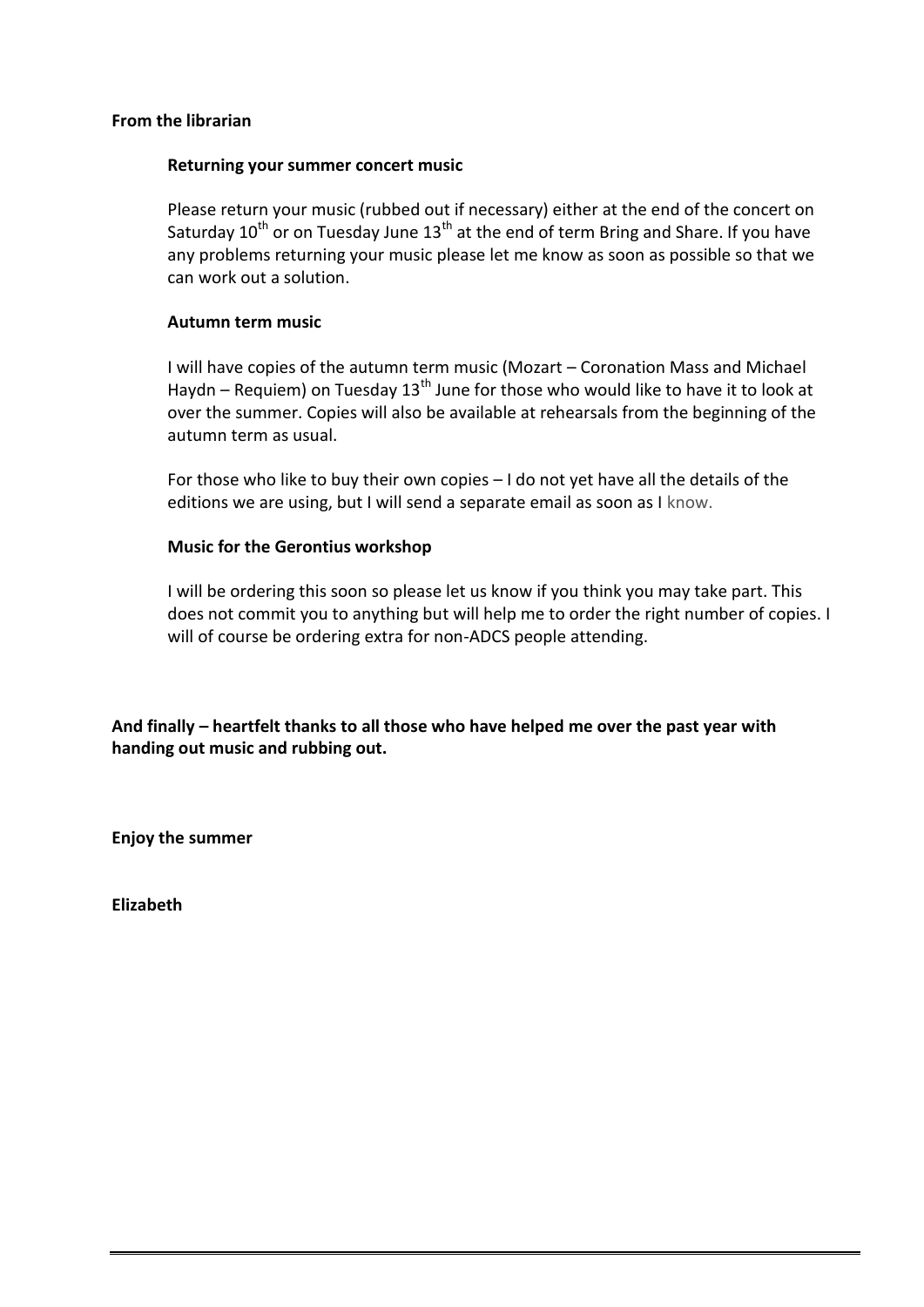### **From the librarian**

#### **Returning your summer concert music**

Please return your music (rubbed out if necessary) either at the end of the concert on Saturday  $10^{th}$  or on Tuesday June  $13^{th}$  at the end of term Bring and Share. If you have any problems returning your music please let me know as soon as possible so that we can work out a solution.

### **Autumn term music**

I will have copies of the autumn term music (Mozart – Coronation Mass and Michael Haydn – Requiem) on Tuesday 13<sup>th</sup> June for those who would like to have it to look at over the summer. Copies will also be available at rehearsals from the beginning of the autumn term as usual.

For those who like to buy their own copies – I do not yet have all the details of the editions we are using, but I will send a separate email as soon as I know.

### **Music for the Gerontius workshop**

I will be ordering this soon so please let us know if you think you may take part. This does not commit you to anything but will help me to order the right number of copies. I will of course be ordering extra for non-ADCS people attending.

**And finally – heartfelt thanks to all those who have helped me over the past year with handing out music and rubbing out.**

**Enjoy the summer**

**Elizabeth**